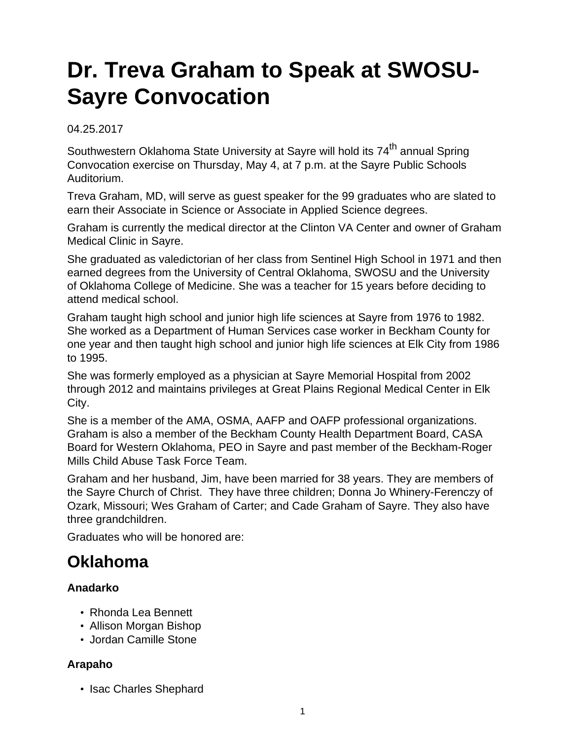# **Dr. Treva Graham to Speak at SWOSU-Sayre Convocation**

04.25.2017

Southwestern Oklahoma State University at Sayre will hold its 74<sup>th</sup> annual Spring Convocation exercise on Thursday, May 4, at 7 p.m. at the Sayre Public Schools Auditorium.

Treva Graham, MD, will serve as guest speaker for the 99 graduates who are slated to earn their Associate in Science or Associate in Applied Science degrees.

Graham is currently the medical director at the Clinton VA Center and owner of Graham Medical Clinic in Sayre.

She graduated as valedictorian of her class from Sentinel High School in 1971 and then earned degrees from the University of Central Oklahoma, SWOSU and the University of Oklahoma College of Medicine. She was a teacher for 15 years before deciding to attend medical school.

Graham taught high school and junior high life sciences at Sayre from 1976 to 1982. She worked as a Department of Human Services case worker in Beckham County for one year and then taught high school and junior high life sciences at Elk City from 1986 to 1995.

She was formerly employed as a physician at Sayre Memorial Hospital from 2002 through 2012 and maintains privileges at Great Plains Regional Medical Center in Elk City.

She is a member of the AMA, OSMA, AAFP and OAFP professional organizations. Graham is also a member of the Beckham County Health Department Board, CASA Board for Western Oklahoma, PEO in Sayre and past member of the Beckham-Roger Mills Child Abuse Task Force Team.

Graham and her husband, Jim, have been married for 38 years. They are members of the Sayre Church of Christ. They have three children; Donna Jo Whinery-Ferenczy of Ozark, Missouri; Wes Graham of Carter; and Cade Graham of Sayre. They also have three grandchildren.

Graduates who will be honored are:

# **Oklahoma**

#### **Anadarko**

- Rhonda Lea Bennett
- Allison Morgan Bishop
- Jordan Camille Stone

#### **Arapaho**

• Isac Charles Shephard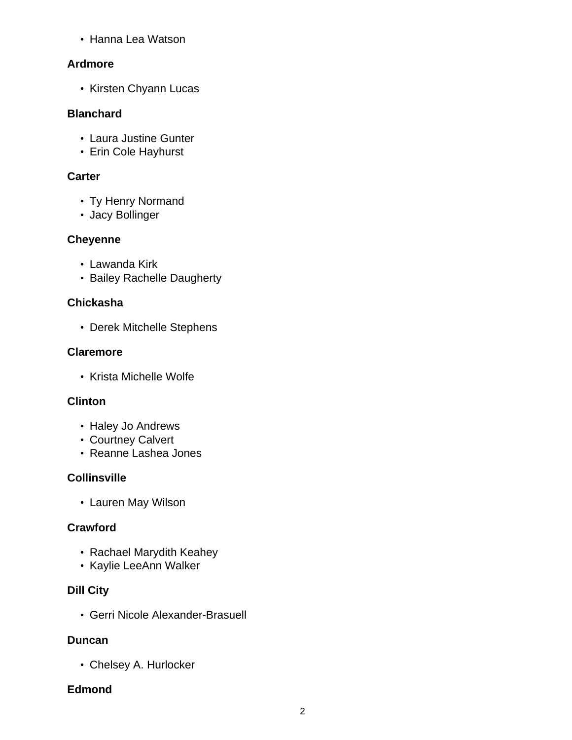• Hanna Lea Watson

# **Ardmore**

• Kirsten Chyann Lucas

#### **Blanchard**

- Laura Justine Gunter
- Erin Cole Hayhurst

# **Carter**

- Ty Henry Normand
- Jacy Bollinger

# **Cheyenne**

- Lawanda Kirk
- Bailey Rachelle Daugherty

# **Chickasha**

• Derek Mitchelle Stephens

# **Claremore**

• Krista Michelle Wolfe

# **Clinton**

- Haley Jo Andrews
- Courtney Calvert
- Reanne Lashea Jones

# **Collinsville**

• Lauren May Wilson

# **Crawford**

- Rachael Marydith Keahey
- Kaylie LeeAnn Walker

# **Dill City**

• Gerri Nicole Alexander-Brasuell

#### **Duncan**

• Chelsey A. Hurlocker

# **Edmond**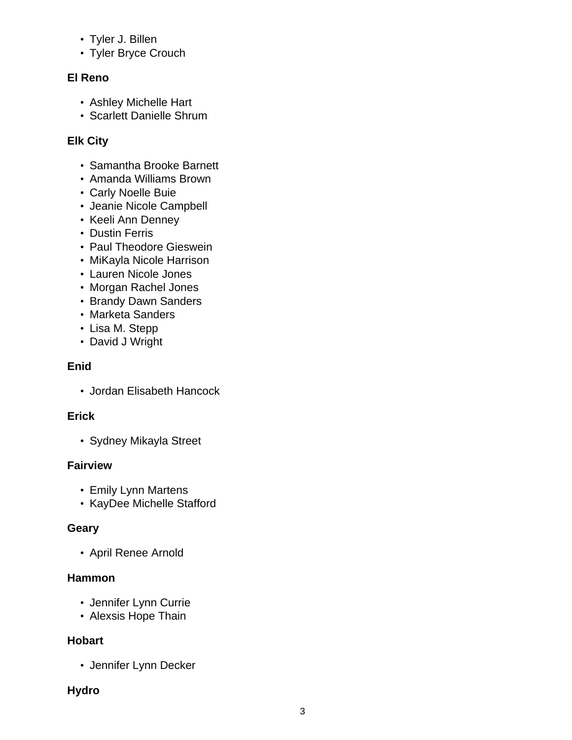- Tyler J. Billen
- Tyler Bryce Crouch

#### **El Reno**

- Ashley Michelle Hart
- Scarlett Danielle Shrum

#### **Elk City**

- Samantha Brooke Barnett
- Amanda Williams Brown
- Carly Noelle Buie
- Jeanie Nicole Campbell
- Keeli Ann Denney
- Dustin Ferris
- Paul Theodore Gieswein
- MiKayla Nicole Harrison
- Lauren Nicole Jones
- Morgan Rachel Jones
- Brandy Dawn Sanders
- Marketa Sanders
- Lisa M. Stepp
- David J Wright

#### **Enid**

• Jordan Elisabeth Hancock

#### **Erick**

• Sydney Mikayla Street

#### **Fairview**

- Emily Lynn Martens
- KayDee Michelle Stafford

#### **Geary**

• April Renee Arnold

#### **Hammon**

- Jennifer Lynn Currie
- Alexsis Hope Thain

#### **Hobart**

• Jennifer Lynn Decker

#### **Hydro**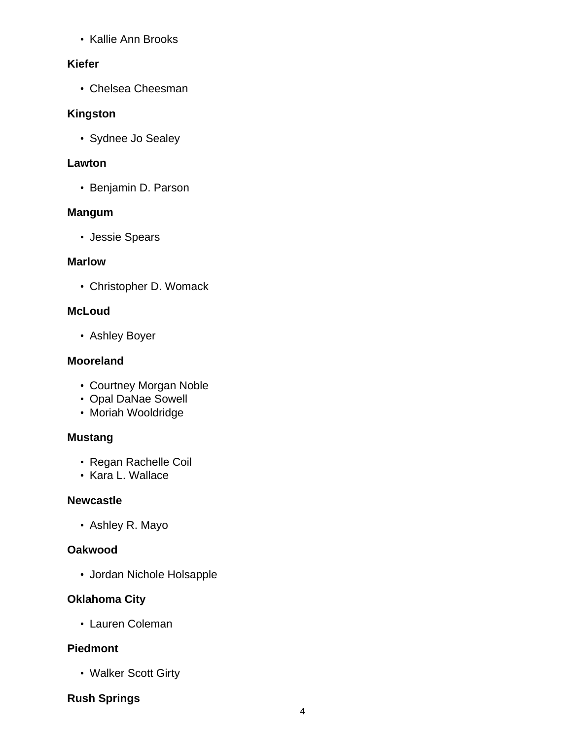• Kallie Ann Brooks

#### **Kiefer**

• Chelsea Cheesman

#### **Kingston**

• Sydnee Jo Sealey

#### **Lawton**

• Benjamin D. Parson

#### **Mangum**

• Jessie Spears

#### **Marlow**

• Christopher D. Womack

#### **McLoud**

• Ashley Boyer

#### **Mooreland**

- Courtney Morgan Noble
- Opal DaNae Sowell
- Moriah Wooldridge

#### **Mustang**

- Regan Rachelle Coil
- Kara L. Wallace

#### **Newcastle**

• Ashley R. Mayo

#### **Oakwood**

• Jordan Nichole Holsapple

#### **Oklahoma City**

• Lauren Coleman

#### **Piedmont**

• Walker Scott Girty

### **Rush Springs**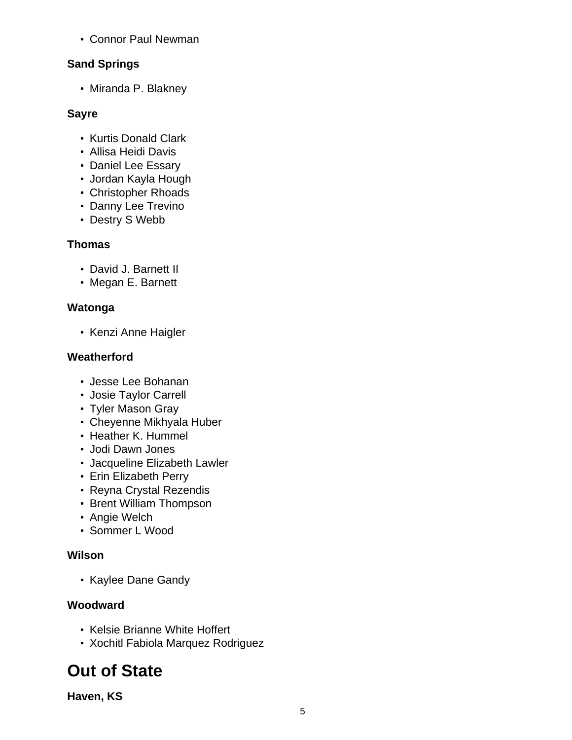• Connor Paul Newman

# **Sand Springs**

• Miranda P. Blakney

## **Sayre**

- Kurtis Donald Clark
- Allisa Heidi Davis
- Daniel Lee Essary
- Jordan Kayla Hough
- Christopher Rhoads
- Danny Lee Trevino
- Destry S Webb

# **Thomas**

- David J. Barnett II
- Megan E. Barnett

# **Watonga**

• Kenzi Anne Haigler

# **Weatherford**

- Jesse Lee Bohanan
- Josie Taylor Carrell
- Tyler Mason Gray
- Cheyenne Mikhyala Huber
- Heather K. Hummel
- Jodi Dawn Jones
- Jacqueline Elizabeth Lawler
- Erin Elizabeth Perry
- Reyna Crystal Rezendis
- Brent William Thompson
- Angie Welch
- Sommer L Wood

# **Wilson**

• Kaylee Dane Gandy

# **Woodward**

- Kelsie Brianne White Hoffert
- Xochitl Fabiola Marquez Rodriguez

# **Out of State**

**Haven, KS**